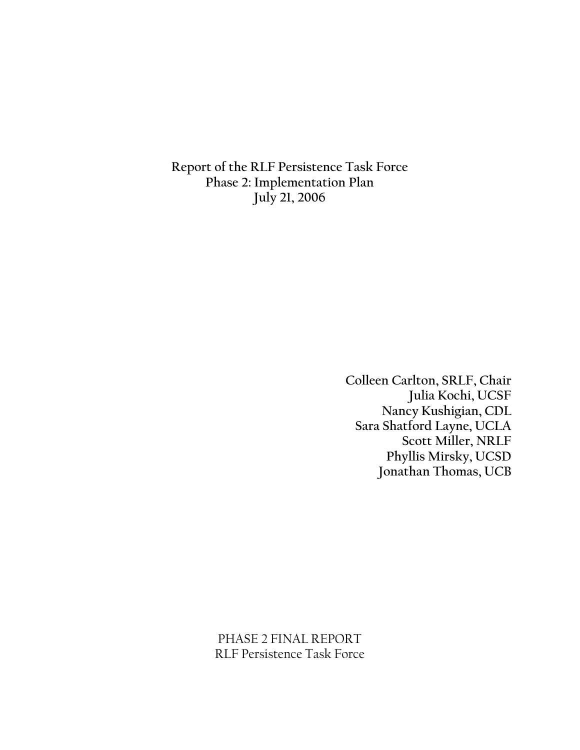Report of the RLF Persistence Task Force Phase 2: Implementation Plan July 21, 2006

> Colleen Carlton, SRLF, Chair Julia Kochi, UCSF Nancy Kushigian, CDL Sara Shatford Layne, UCLA Scott Miller, NRLF Phyllis Mirsky, UCSD Jonathan Thomas, UCB

PHASE 2 FINAL REPORT RLF Persistence Task Force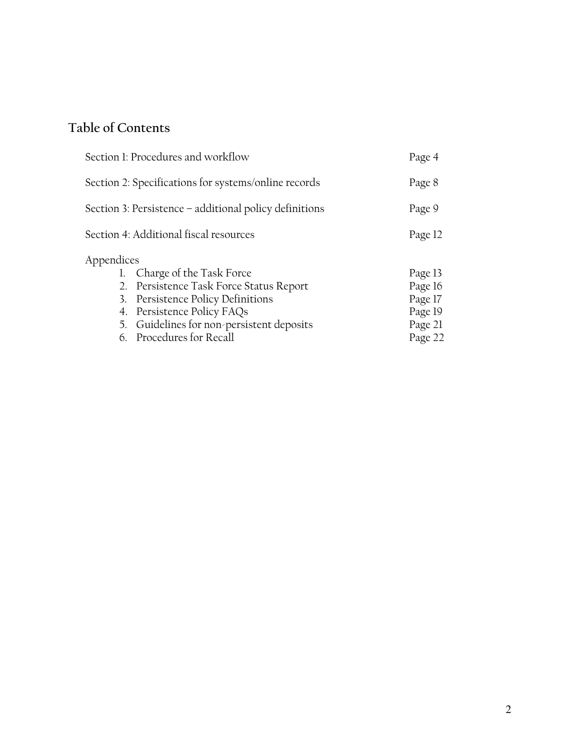# Table of Contents

| Section 1: Procedures and workflow                     |                                           |         |  |  |  |
|--------------------------------------------------------|-------------------------------------------|---------|--|--|--|
| Section 2: Specifications for systems/online records   |                                           |         |  |  |  |
| Section 3: Persistence – additional policy definitions |                                           |         |  |  |  |
|                                                        | Section 4: Additional fiscal resources    | Page 12 |  |  |  |
| Appendices                                             |                                           |         |  |  |  |
|                                                        | 1. Charge of the Task Force               | Page 13 |  |  |  |
|                                                        | 2. Persistence Task Force Status Report   | Page 16 |  |  |  |
| 3.                                                     | Persistence Policy Definitions            | Page 17 |  |  |  |
|                                                        | 4. Persistence Policy FAQs                | Page 19 |  |  |  |
|                                                        | 5. Guidelines for non-persistent deposits | Page 21 |  |  |  |
|                                                        | 6. Procedures for Recall                  | Page 22 |  |  |  |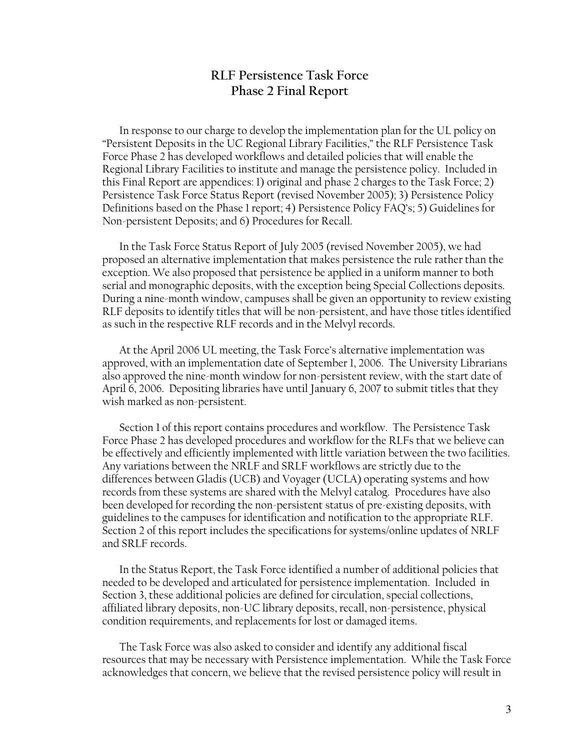## **RLF Persistence Task Force Phase 2 Final Report**

In response to our charge to develop the implementation plan for the UL policy on "Persistent Deposits in the UC Regional Library Facilities," the RLF Persistence Task Force Phase 2 has developed workflows and detailed policies that will enable the Regional Library Facilities to institute and manage the persistence policy. Included in this Final Report are appendices: 1) original and phase 2 charges to the Task Force; 2) Persistence Task Force Status Report (revised November 2005); 3) Persistence Policy Definitions based on the Phase 1 report; 4) Persistence Policy FAQ's; 5) Guidelines for Non-persistent Deposits; and 6) Procedures for Recall.

In the Task Force Status Report of July 2005 (revised November 2005), we had proposed an alternative implementation that makes persistence the rule rather than the exception. We also proposed that persistence be applied in a uniform manner to both serial and monographic deposits, with the exception being Special Collections deposits. During a nine-month window, campuses shall be given an opportunity to review existing RLF deposits to identify titles that will be non-persistent, and have those titles identified as such in the respective RLF records and in the Melvyl records.

At the April 2006 UL meeting, the Task Force's alternative implementation was approved, with an implementation date of September 1, 2006. The University Librarians also approved the nine-month window for non-persistent review, with the start date of April 6, 2006. Depositing libraries have until January 6, 2007 to submit titles that they wish marked as non-persistent.

Section 1 of this report contains procedures and workflow. The Persistence Task Force Phase 2 has developed procedures and workflow for the RLFs that we believe can be effectively and efficiently implemented with little variation between the two facilities. Any variations between the NRLF and SRLF workflows are strictly due to the differences between Gladis (UCB) and Voyager (UCLA) operating systems and how records from these systems are shared with the Melvyl catalog. Procedures have also been developed for recording the non-persistent status of pre-existing deposits, with guidelines to the campuses for identification and notification to the appropriate RLF. Section 2 of this report includes the specifications for systems/online updates of NRLF and SRLF records.

In the Status Report, the Task Force identified a number of additional policies that needed to be developed and articulated for persistence implementation. Included in Section 3, these additional policies are defined for circulation, special collections, affiliated library deposits, non-UC library deposits, recall, non-persistence, physical condition requirements, and replacements for lost or damaged items.

The Task Force was also asked to consider and identify any additional fiscal resources that may be necessary with Persistence implementation. While the Task Force acknowledges that concern, we believe that the revised persistence policy will result in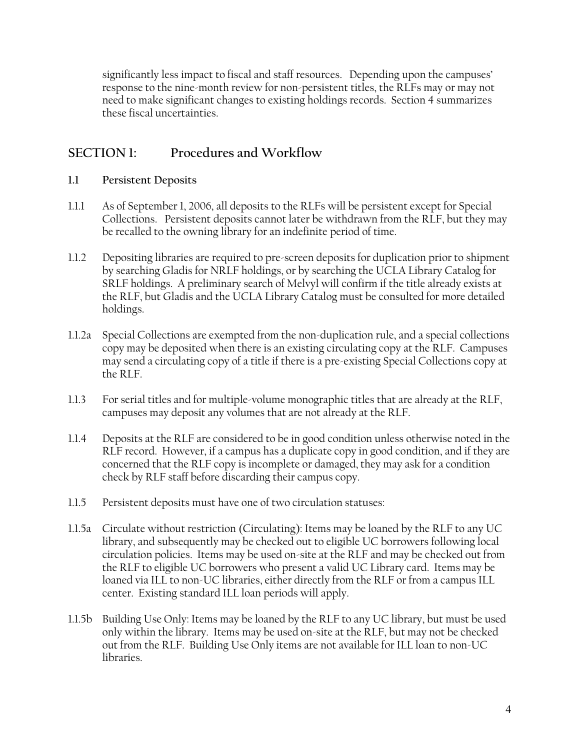significantly less impact to fiscal and staff resources. Depending upon the campuses' response to the nine-month review for non-persistent titles, the RLFs may or may not need to make significant changes to existing holdings records. Section 4 summarizes these fiscal uncertainties.

#### **SECTION 1:** Procedures and Workflow

#### $1.1$ **Persistent Deposits**

- $1.1.1$ As of September 1, 2006, all deposits to the RLFs will be persistent except for Special Collections. Persistent deposits cannot later be withdrawn from the RLF, but they may be recalled to the owning library for an indefinite period of time.
- $1.1.2$ Depositing libraries are required to pre-screen deposits for duplication prior to shipment by searching Gladis for NRLF holdings, or by searching the UCLA Library Catalog for SRLF holdings. A preliminary search of Melvyl will confirm if the title already exists at the RLF, but Gladis and the UCLA Library Catalog must be consulted for more detailed holdings.
- 1.1.2a Special Collections are exempted from the non-duplication rule, and a special collections copy may be deposited when there is an existing circulating copy at the RLF. Campuses may send a circulating copy of a title if there is a pre-existing Special Collections copy at the RLF.
- $1.1.3$ For serial titles and for multiple-volume monographic titles that are already at the RLF, campuses may deposit any volumes that are not already at the RLF.
- $1.1.4$ Deposits at the RLF are considered to be in good condition unless otherwise noted in the RLF record. However, if a campus has a duplicate copy in good condition, and if they are concerned that the RLF copy is incomplete or damaged, they may ask for a condition check by RLF staff before discarding their campus copy.
- $1.1.5$ Persistent deposits must have one of two circulation statuses:
- 1.1.5a Circulate without restriction (Circulating): Items may be loaned by the RLF to any UC library, and subsequently may be checked out to eligible UC borrowers following local circulation policies. Items may be used on-site at the RLF and may be checked out from the RLF to eligible UC borrowers who present a valid UC Library card. Items may be loaned via ILL to non-UC libraries, either directly from the RLF or from a campus ILL center. Existing standard ILL loan periods will apply.
- 1.1.5b Building Use Only: Items may be loaned by the RLF to any UC library, but must be used only within the library. Items may be used on-site at the RLF, but may not be checked out from the RLF. Building Use Only items are not available for ILL loan to non-UC libraries.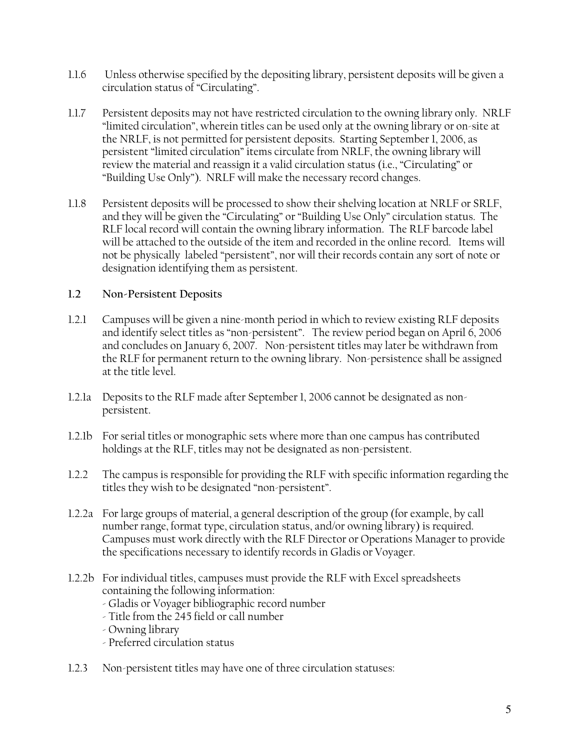- $1.1.6$ Unless otherwise specified by the depositing library, persistent deposits will be given a circulation status of "Circulating".
- $1.1.7$ Persistent deposits may not have restricted circulation to the owning library only. NRLF "limited circulation", wherein titles can be used only at the owning library or on-site at the NRLF, is not permitted for persistent deposits. Starting September 1, 2006, as persistent "limited circulation" items circulate from NRLF, the owning library will review the material and reassign it a valid circulation status (i.e., "Circulating" or "Building Use Only"). NRLF will make the necessary record changes.
- Persistent deposits will be processed to show their shelving location at NRLF or SRLF,  $1.1.8$ and they will be given the "Circulating" or "Building Use Only" circulation status. The RLF local record will contain the owning library information. The RLF barcode label will be attached to the outside of the item and recorded in the online record. Items will not be physically labeled "persistent", nor will their records contain any sort of note or designation identifying them as persistent.

#### $1.2$ Non-Persistent Deposits

- $1.2.1$ Campuses will be given a nine-month period in which to review existing RLF deposits and identify select titles as "non-persistent". The review period began on April 6, 2006 and concludes on January 6, 2007. Non-persistent titles may later be withdrawn from the RLF for permanent return to the owning library. Non-persistence shall be assigned at the title level.
- 1.2.1a Deposits to the RLF made after September 1, 2006 cannot be designated as nonpersistent.
- 1.2.1b For serial titles or monographic sets where more than one campus has contributed holdings at the RLF, titles may not be designated as non-persistent.
- $1.2.2$ The campus is responsible for providing the RLF with specific information regarding the titles they wish to be designated "non-persistent".
- 1.2.2a For large groups of material, a general description of the group (for example, by call number range, format type, circulation status, and/or owning library) is required. Campuses must work directly with the RLF Director or Operations Manager to provide the specifications necessary to identify records in Gladis or Voyager.
- 1.2.2b For individual titles, campuses must provide the RLF with Excel spreadsheets containing the following information:
	- Gladis or Voyager bibliographic record number
	- Title from the 245 field or call number
	- Owning library
	- Preferred circulation status
- $1.2.3$ Non-persistent titles may have one of three circulation statuses: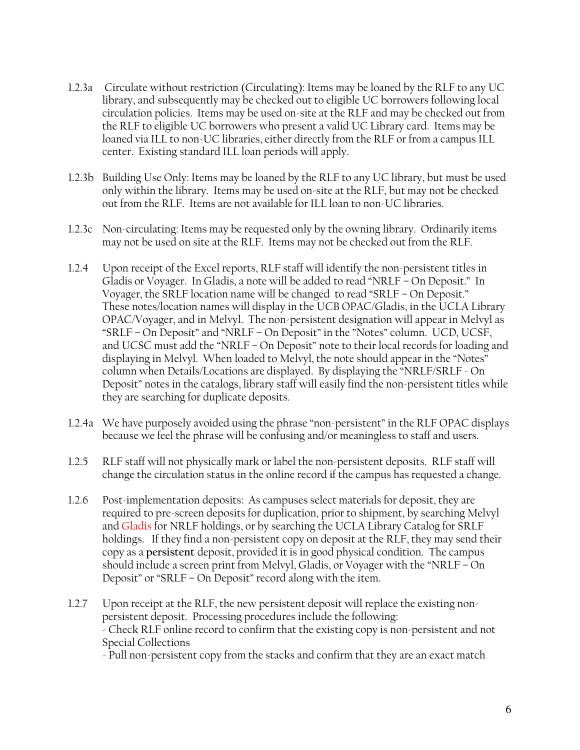- 1.2.3a Circulate without restriction (Circulating): Items may be loaned by the RLF to any UC library, and subsequently may be checked out to eligible UC borrowers following local circulation policies. Items may be used on-site at the RLF and may be checked out from the RLF to eligible UC borrowers who present a valid UC Library card. Items may be loaned via ILL to non-UC libraries, either directly from the RLF or from a campus ILL center. Existing standard ILL loan periods will apply.
- 1.2.3b Building Use Only: Items may be loaned by the RLF to any UC library, but must be used only within the library. Items may be used on-site at the RLF, but may not be checked out from the RLF. Items are not available for ILL loan to non-UC libraries.
- 1.2.3c Non-circulating: Items may be requested only by the owning library. Ordinarily items may not be used on site at the RLF. Items may not be checked out from the RLF.
- $1.2.4$ Upon receipt of the Excel reports, RLF staff will identify the non-persistent titles in Gladis or Voyager. In Gladis, a note will be added to read "NRLF - On Deposit." In Voyager, the SRLF location name will be changed to read "SRLF  $-$  On Deposit." These notes/location names will display in the UCB OPAC/Gladis, in the UCLA Library OPAC/Voyager, and in Melvyl. The non-persistent designation will appear in Melvyl as "SRLF - On Deposit" and "NRLF - On Deposit" in the "Notes" column. UCD, UCSF, and UCSC must add the "NRLF - On Deposit" note to their local records for loading and displaying in Melvyl. When loaded to Melvyl, the note should appear in the "Notes" column when Details/Locations are displayed. By displaying the "NRLF/SRLF - On Deposit" notes in the catalogs, library staff will easily find the non-persistent titles while they are searching for duplicate deposits.
- 1.2.4a We have purposely avoided using the phrase "non-persistent" in the RLF OPAC displays because we feel the phrase will be confusing and/or meaningless to staff and users.
- $1.2.5$ RLF staff will not physically mark or label the non-persistent deposits. RLF staff will change the circulation status in the online record if the campus has requested a change.
- $1.2.6$ Post-implementation deposits: As campuses select materials for deposit, they are required to pre-screen deposits for duplication, prior to shipment, by searching Melvyl and Gladis for NRLF holdings, or by searching the UCLA Library Catalog for SRLF holdings. If they find a non-persistent copy on deposit at the RLF, they may send their copy as a persistent deposit, provided it is in good physical condition. The campus should include a screen print from Melvyl, Gladis, or Voyager with the "NRLF – On Deposit" or "SRLF - On Deposit" record along with the item.
- $1.2.7$ Upon receipt at the RLF, the new persistent deposit will replace the existing nonpersistent deposit. Processing procedures include the following: - Check RLF online record to confirm that the existing copy is non-persistent and not Special Collections

- Pull non-persistent copy from the stacks and confirm that they are an exact match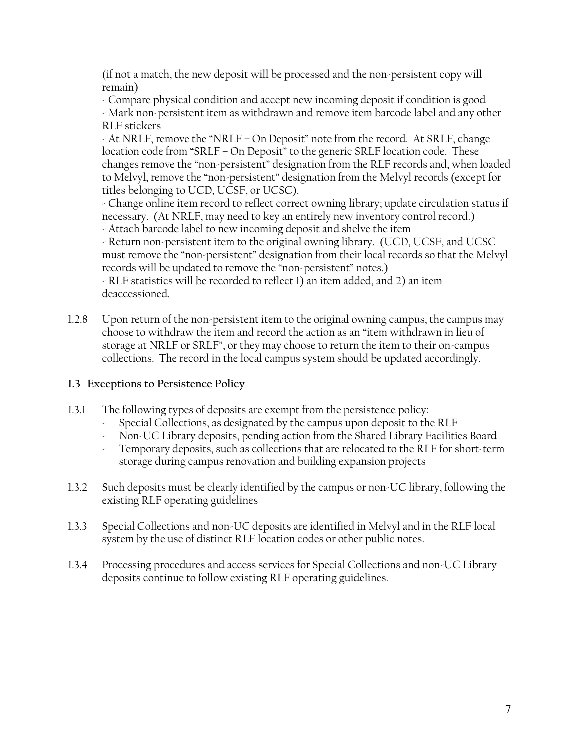(if not a match, the new deposit will be processed and the non-persistent copy will remain)

- Compare physical condition and accept new incoming deposit if condition is good - Mark non-persistent item as withdrawn and remove item barcode label and any other **RLF** stickers

- At NRLF, remove the "NRLF – On Deposit" note from the record. At SRLF, change location code from "SRLF - On Deposit" to the generic SRLF location code. These changes remove the "non-persistent" designation from the RLF records and, when loaded to Melvyl, remove the "non-persistent" designation from the Melvyl records (except for titles belonging to UCD, UCSF, or UCSC).

- Change online item record to reflect correct owning library; update circulation status if necessary. (At NRLF, may need to key an entirely new inventory control record.) - Attach barcode label to new incoming deposit and shelve the item

- Return non-persistent item to the original owning library. (UCD, UCSF, and UCSC must remove the "non-persistent" designation from their local records so that the Melvyl records will be updated to remove the "non-persistent" notes.)

- RLF statistics will be recorded to reflect 1) an item added, and 2) an item deaccessioned.

 $1.2.8$ Upon return of the non-persistent item to the original owning campus, the campus may choose to withdraw the item and record the action as an "item withdrawn in lieu of storage at NRLF or SRLF", or they may choose to return the item to their on-campus collections. The record in the local campus system should be updated accordingly.

## 1.3 Exceptions to Persistence Policy

- The following types of deposits are exempt from the persistence policy:  $1.3.1$ 
	- Special Collections, as designated by the campus upon deposit to the RLF
	- > Non-UC Library deposits, pending action from the Shared Library Facilities Board
	- Temporary deposits, such as collections that are relocated to the RLF for short-term storage during campus renovation and building expansion projects
- Such deposits must be clearly identified by the campus or non-UC library, following the  $1.3.2$ existing RLF operating guidelines
- $1.3.3$ Special Collections and non-UC deposits are identified in Melvyl and in the RLF local system by the use of distinct RLF location codes or other public notes.
- Processing procedures and access services for Special Collections and non-UC Library  $1.3.4$ deposits continue to follow existing RLF operating guidelines.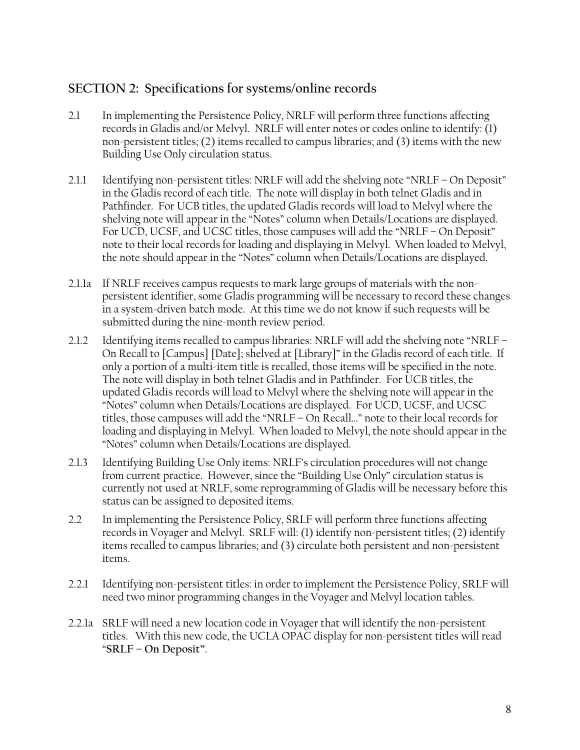## SECTION 2: Specifications for systems/online records

- In implementing the Persistence Policy, NRLF will perform three functions affecting  $2.1$ records in Gladis and/or Melvyl. NRLF will enter notes or codes online to identify: (1) non-persistent titles; (2) items recalled to campus libraries; and (3) items with the new Building Use Only circulation status.
- Identifying non-persistent titles: NRLF will add the shelving note "NRLF  $-$  On Deposit" 2.1.1 in the Gladis record of each title. The note will display in both telnet Gladis and in Pathfinder. For UCB titles, the updated Gladis records will load to Melvyl where the shelving note will appear in the "Notes" column when Details/Locations are displayed. For UCD, UCSF, and UCSC titles, those campuses will add the "NRLF - On Deposit" note to their local records for loading and displaying in Melvyl. When loaded to Melvyl, the note should appear in the "Notes" column when Details/Locations are displayed.
- 2.1.1a If NRLF receives campus requests to mark large groups of materials with the nonpersistent identifier, some Gladis programming will be necessary to record these changes in a system-driven batch mode. At this time we do not know if such requests will be submitted during the nine-month review period.
- Identifying items recalled to campus libraries: NRLF will add the shelving note "NRLF - $2.1.2$ On Recall to [Campus] [Date]; shelved at [Library]" in the Gladis record of each title. If only a portion of a multi-item title is recalled, those items will be specified in the note. The note will display in both telnet Gladis and in Pathfinder. For UCB titles, the updated Gladis records will load to Melvyl where the shelving note will appear in the "Notes" column when Details/Locations are displayed. For UCD, UCSF, and UCSC titles, those campuses will add the "NRLF - On Recall..." note to their local records for loading and displaying in Melvyl. When loaded to Melvyl, the note should appear in the "Notes" column when Details/Locations are displayed.
- $2.1.3$ Identifying Building Use Only items: NRLF's circulation procedures will not change from current practice. However, since the "Building Use Only" circulation status is currently not used at NRLF, some reprogramming of Gladis will be necessary before this status can be assigned to deposited items.
- $2.2$ In implementing the Persistence Policy, SRLF will perform three functions affecting records in Voyager and Melvyl. SRLF will: (1) identify non-persistent titles; (2) identify items recalled to campus libraries; and (3) circulate both persistent and non-persistent items.
- Identifying non-persistent titles: in order to implement the Persistence Policy, SRLF will  $2.2.1$ need two minor programming changes in the Voyager and Melvyl location tables.
- 2.2.1a SRLF will need a new location code in Voyager that will identify the non-persistent titles. With this new code, the UCLA OPAC display for non-persistent titles will read "SRLF - On Deposit".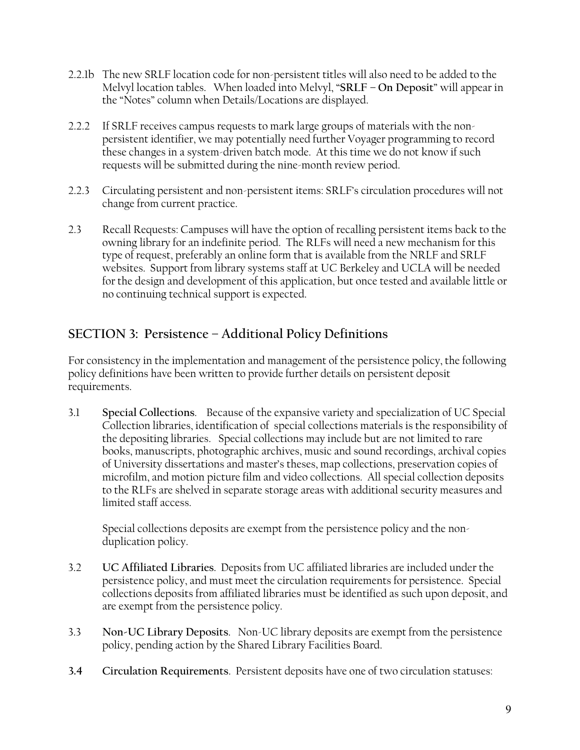- 2.2.1b The new SRLF location code for non-persistent titles will also need to be added to the Melvyl location tables. When loaded into Melvyl, "SRLF - On Deposit" will appear in the "Notes" column when Details/Locations are displayed.
- 2.2.2 If SRLF receives campus requests to mark large groups of materials with the nonpersistent identifier, we may potentially need further Voyager programming to record these changes in a system-driven batch mode. At this time we do not know if such requests will be submitted during the nine-month review period.
- 2.2.3 Circulating persistent and non-persistent items: SRLF's circulation procedures will not change from current practice.
- $2.3$ Recall Requests: Campuses will have the option of recalling persistent items back to the owning library for an indefinite period. The RLFs will need a new mechanism for this type of request, preferably an online form that is available from the NRLF and SRLF websites. Support from library systems staff at UC Berkeley and UCLA will be needed for the design and development of this application, but once tested and available little or no continuing technical support is expected.

# SECTION 3: Persistence - Additional Policy Definitions

For consistency in the implementation and management of the persistence policy, the following policy definitions have been written to provide further details on persistent deposit requirements.

 $3.1$ Special Collections. Because of the expansive variety and specialization of UC Special Collection libraries, identification of special collections materials is the responsibility of the depositing libraries. Special collections may include but are not limited to rare books, manuscripts, photographic archives, music and sound recordings, archival copies of University dissertations and master's theses, map collections, preservation copies of microfilm, and motion picture film and video collections. All special collection deposits to the RLFs are shelved in separate storage areas with additional security measures and limited staff access.

Special collections deposits are exempt from the persistence policy and the nonduplication policy.

- $3.2$ UC Affiliated Libraries. Deposits from UC affiliated libraries are included under the persistence policy, and must meet the circulation requirements for persistence. Special collections deposits from affiliated libraries must be identified as such upon deposit, and are exempt from the persistence policy.
- $3.3$ Non-UC Library Deposits. Non-UC library deposits are exempt from the persistence policy, pending action by the Shared Library Facilities Board.
- $3.4$ Circulation Requirements. Persistent deposits have one of two circulation statuses: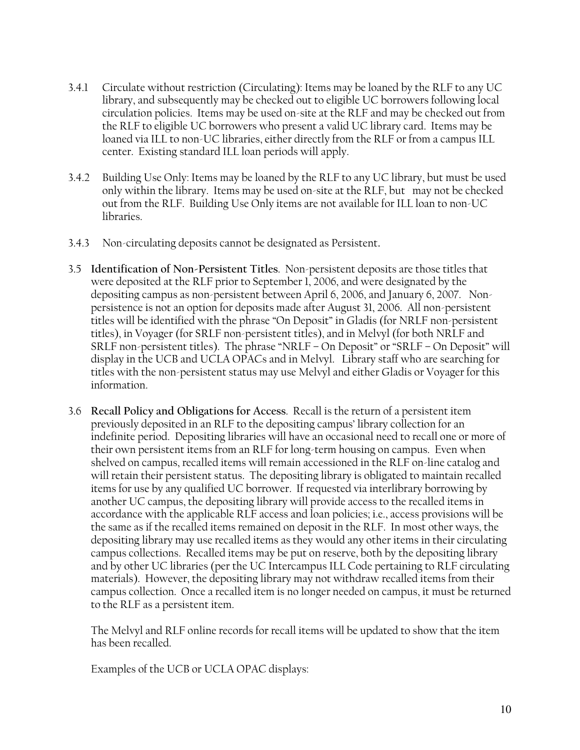- Circulate without restriction (Circulating): Items may be loaned by the RLF to any UC  $3.4.1$ library, and subsequently may be checked out to eligible UC borrowers following local circulation policies. Items may be used on-site at the RLF and may be checked out from the RLF to eligible UC borrowers who present a valid UC library card. Items may be loaned via ILL to non-UC libraries, either directly from the RLF or from a campus ILL center. Existing standard ILL loan periods will apply.
- $3.4.2$ Building Use Only: Items may be loaned by the RLF to any UC library, but must be used only within the library. Items may be used on-site at the RLF, but may not be checked out from the RLF. Building Use Only items are not available for ILL loan to non-UC libraries.
- Non-circulating deposits cannot be designated as Persistent.  $3.4.3$
- 3.5 Identification of Non-Persistent Titles. Non-persistent deposits are those titles that were deposited at the RLF prior to September 1, 2006, and were designated by the depositing campus as non-persistent between April 6, 2006, and January 6, 2007. Nonpersistence is not an option for deposits made after August 31, 2006. All non-persistent titles will be identified with the phrase "On Deposit" in Gladis (for NRLF non-persistent titles), in Voyager (for SRLF non-persistent titles), and in Melvyl (for both NRLF and SRLF non-persistent titles). The phrase "NRLF – On Deposit" or "SRLF – On Deposit" will display in the UCB and UCLA OPACs and in Melvyl. Library staff who are searching for titles with the non-persistent status may use Melvyl and either Gladis or Voyager for this information.
- 3.6 Recall Policy and Obligations for Access. Recall is the return of a persistent item previously deposited in an RLF to the depositing campus' library collection for an indefinite period. Depositing libraries will have an occasional need to recall one or more of their own persistent items from an RLF for long-term housing on campus. Even when shelved on campus, recalled items will remain accessioned in the RLF on-line catalog and will retain their persistent status. The depositing library is obligated to maintain recalled items for use by any qualified UC borrower. If requested via interlibrary borrowing by another UC campus, the depositing library will provide access to the recalled items in accordance with the applicable RLF access and loan policies; i.e., access provisions will be the same as if the recalled items remained on deposit in the RLF. In most other ways, the depositing library may use recalled items as they would any other items in their circulating campus collections. Recalled items may be put on reserve, both by the depositing library and by other UC libraries (per the UC Intercampus ILL Code pertaining to RLF circulating materials). However, the depositing library may not withdraw recalled items from their campus collection. Once a recalled item is no longer needed on campus, it must be returned to the RLF as a persistent item.

The Melvyl and RLF online records for recall items will be updated to show that the item has been recalled.

Examples of the UCB or UCLA OPAC displays: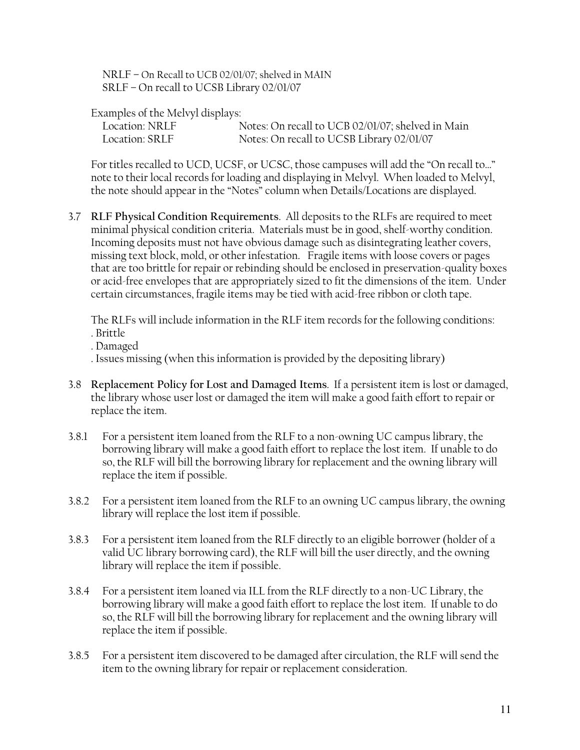NRLF - On Recall to UCB 02/01/07; shelved in MAIN SRLF - On recall to UCSB Library 02/01/07

Examples of the Melvyl displays:

| Location: NRLF |  | Notes: On recall to UCB 02/01/07; shelved in Main |
|----------------|--|---------------------------------------------------|
| Location: SRLF |  | Notes: On recall to UCSB Library 02/01/07         |

For titles recalled to UCD, UCSF, or UCSC, those campuses will add the "On recall to..." note to their local records for loading and displaying in Melvyl. When loaded to Melvyl, the note should appear in the "Notes" column when Details/Locations are displayed.

3.7 RLF Physical Condition Requirements. All deposits to the RLFs are required to meet minimal physical condition criteria. Materials must be in good, shelf-worthy condition. Incoming deposits must not have obvious damage such as disintegrating leather covers, missing text block, mold, or other infestation. Fragile items with loose covers or pages that are too brittle for repair or rebinding should be enclosed in preservation-quality boxes or acid-free envelopes that are appropriately sized to fit the dimensions of the item. Under certain circumstances, fragile items may be tied with acid-free ribbon or cloth tape.

The RLFs will include information in the RLF item records for the following conditions: . Brittle

. Damaged

. Issues missing (when this information is provided by the depositing library)

- 3.8 Replacement Policy for Lost and Damaged Items. If a persistent item is lost or damaged, the library whose user lost or damaged the item will make a good faith effort to repair or replace the item.
- $3.8.1$ For a persistent item loaned from the RLF to a non-owning UC campus library, the borrowing library will make a good faith effort to replace the lost item. If unable to do so, the RLF will bill the borrowing library for replacement and the owning library will replace the item if possible.
- For a persistent item loaned from the RLF to an owning UC campus library, the owning  $3.8.2$ library will replace the lost item if possible.
- $3.8.3$ For a persistent item loaned from the RLF directly to an eligible borrower (holder of a valid UC library borrowing card), the RLF will bill the user directly, and the owning library will replace the item if possible.
- For a persistent item loaned via ILL from the RLF directly to a non-UC Library, the  $3.8.4$ borrowing library will make a good faith effort to replace the lost item. If unable to do so, the RLF will bill the borrowing library for replacement and the owning library will replace the item if possible.
- $3.8.5$ For a persistent item discovered to be damaged after circulation, the RLF will send the item to the owning library for repair or replacement consideration.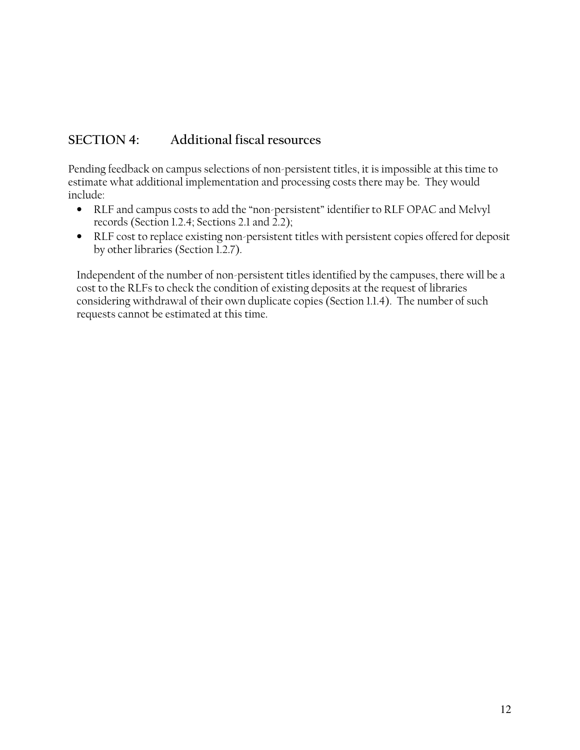#### $SECTION 4:$ Additional fiscal resources

Pending feedback on campus selections of non-persistent titles, it is impossible at this time to estimate what additional implementation and processing costs there may be. They would include:

- RLF and campus costs to add the "non-persistent" identifier to RLF OPAC and Melvyl  $\bullet$ records (Section 1.2.4; Sections 2.1 and 2.2);
- RLF cost to replace existing non-persistent titles with persistent copies offered for deposit by other libraries (Section 1.2.7).

Independent of the number of non-persistent titles identified by the campuses, there will be a cost to the RLFs to check the condition of existing deposits at the request of libraries considering withdrawal of their own duplicate copies (Section 1.1.4). The number of such requests cannot be estimated at this time.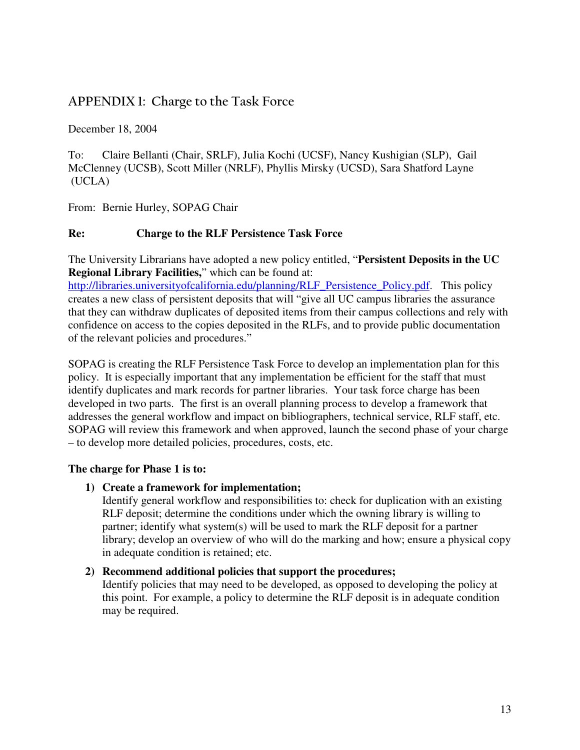# APPENDIX 1: Charge to the Task Force

December 18, 2004

To: Claire Bellanti (Chair, SRLF), Julia Kochi (UCSF), Nancy Kushigian (SLP), Gail McClenney (UCSB), Scott Miller (NRLF), Phyllis Mirsky (UCSD), Sara Shatford Layne (UCLA)

From: Bernie Hurley, SOPAG Chair

## **Re: Charge to the RLF Persistence Task Force**

The University Librarians have adopted a new policy entitled, "**Persistent Deposits in the UC Regional Library Facilities,**" which can be found at:

http://libraries.universityofcalifornia.edu/planning/RLF\_Persistence\_Policy.pdf. This policy creates a new class of persistent deposits that will "give all UC campus libraries the assurance that they can withdraw duplicates of deposited items from their campus collections and rely with confidence on access to the copies deposited in the RLFs, and to provide public documentation of the relevant policies and procedures."

SOPAG is creating the RLF Persistence Task Force to develop an implementation plan for this policy. It is especially important that any implementation be efficient for the staff that must identify duplicates and mark records for partner libraries. Your task force charge has been developed in two parts. The first is an overall planning process to develop a framework that addresses the general workflow and impact on bibliographers, technical service, RLF staff, etc. SOPAG will review this framework and when approved, launch the second phase of your charge – to develop more detailed policies, procedures, costs, etc.

## **The charge for Phase 1 is to:**

## **1) Create a framework for implementation;**

Identify general workflow and responsibilities to: check for duplication with an existing RLF deposit; determine the conditions under which the owning library is willing to partner; identify what system(s) will be used to mark the RLF deposit for a partner library; develop an overview of who will do the marking and how; ensure a physical copy in adequate condition is retained; etc.

## **2) Recommend additional policies that support the procedures;**

Identify policies that may need to be developed, as opposed to developing the policy at this point. For example, a policy to determine the RLF deposit is in adequate condition may be required.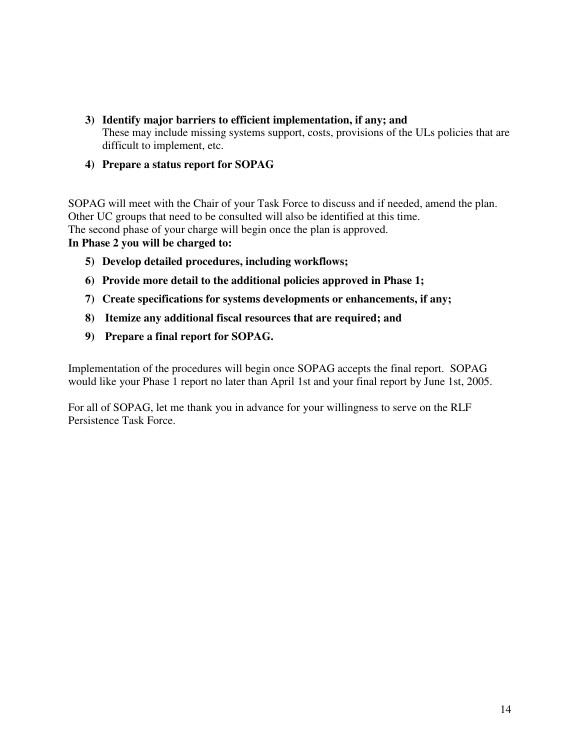- **3) Identify major barriers to efficient implementation, if any; and** These may include missing systems support, costs, provisions of the ULs policies that are difficult to implement, etc.
- **4) Prepare a status report for SOPAG**

SOPAG will meet with the Chair of your Task Force to discuss and if needed, amend the plan. Other UC groups that need to be consulted will also be identified at this time. The second phase of your charge will begin once the plan is approved. **In Phase 2 you will be charged to:**

- **5) Develop detailed procedures, including workflows;**
- **6) Provide more detail to the additional policies approved in Phase 1;**
- **7) Create specifications for systems developments or enhancements, if any;**
- **8) Itemize any additional fiscal resources that are required; and**
- **9) Prepare a final report for SOPAG.**

Implementation of the procedures will begin once SOPAG accepts the final report. SOPAG would like your Phase 1 report no later than April 1st and your final report by June 1st, 2005.

For all of SOPAG, let me thank you in advance for your willingness to serve on the RLF Persistence Task Force.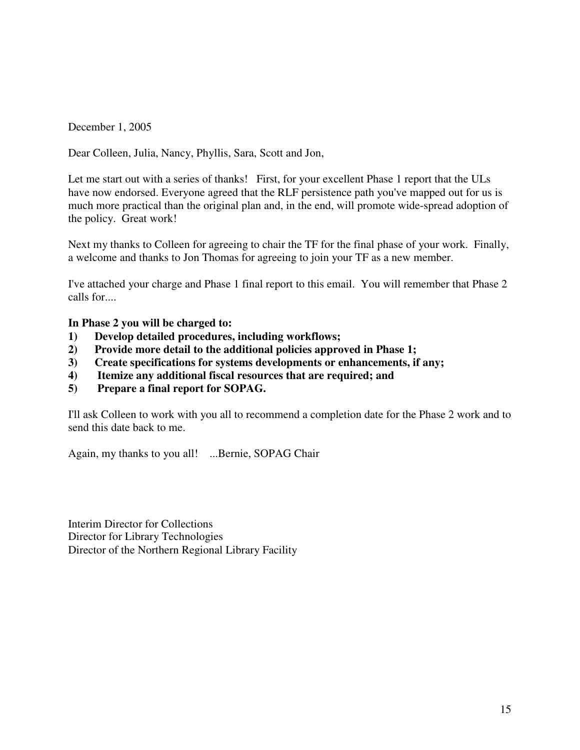December 1, 2005

Dear Colleen, Julia, Nancy, Phyllis, Sara, Scott and Jon,

Let me start out with a series of thanks! First, for your excellent Phase 1 report that the ULs have now endorsed. Everyone agreed that the RLF persistence path you've mapped out for us is much more practical than the original plan and, in the end, will promote wide-spread adoption of the policy. Great work!

Next my thanks to Colleen for agreeing to chair the TF for the final phase of your work. Finally, a welcome and thanks to Jon Thomas for agreeing to join your TF as a new member.

I've attached your charge and Phase 1 final report to this email. You will remember that Phase 2 calls for....

**In Phase 2 you will be charged to:**

- **1) Develop detailed procedures, including workflows;**
- **2) Provide more detail to the additional policies approved in Phase 1;**
- **3) Create specifications for systems developments or enhancements, if any;**
- **4) Itemize any additional fiscal resources that are required; and**
- **5) Prepare a final report for SOPAG.**

I'll ask Colleen to work with you all to recommend a completion date for the Phase 2 work and to send this date back to me.

Again, my thanks to you all! ...Bernie, SOPAG Chair

Interim Director for Collections Director for Library Technologies Director of the Northern Regional Library Facility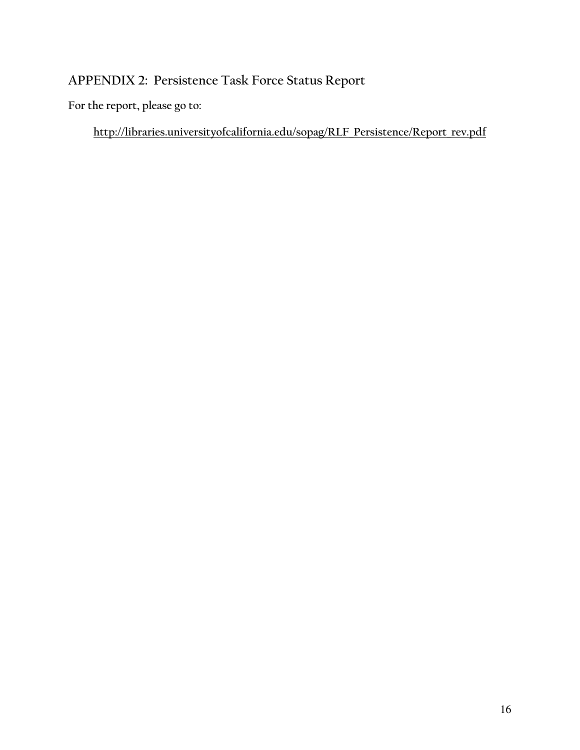# APPENDIX 2: Persistence Task Force Status Report

For the report, please go to:

http://libraries.universityofcalifornia.edu/sopag/RLF Persistence/Report rev.pdf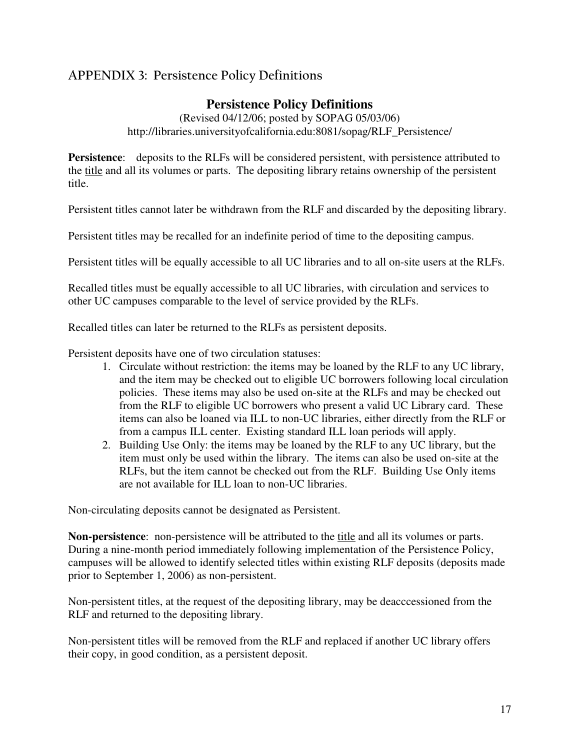# APPENDIX 3: Persistence Policy Definitions

## **Persistence Policy Definitions**

(Revised 04/12/06; posted by SOPAG 05/03/06) http://libraries.universityofcalifornia.edu:8081/sopag/RLF\_Persistence/

**Persistence**: deposits to the RLFs will be considered persistent, with persistence attributed to the title and all its volumes or parts. The depositing library retains ownership of the persistent title.

Persistent titles cannot later be withdrawn from the RLF and discarded by the depositing library.

Persistent titles may be recalled for an indefinite period of time to the depositing campus.

Persistent titles will be equally accessible to all UC libraries and to all on-site users at the RLFs.

Recalled titles must be equally accessible to all UC libraries, with circulation and services to other UC campuses comparable to the level of service provided by the RLFs.

Recalled titles can later be returned to the RLFs as persistent deposits.

Persistent deposits have one of two circulation statuses:

- 1. Circulate without restriction: the items may be loaned by the RLF to any UC library, and the item may be checked out to eligible UC borrowers following local circulation policies. These items may also be used on-site at the RLFs and may be checked out from the RLF to eligible UC borrowers who present a valid UC Library card. These items can also be loaned via ILL to non-UC libraries, either directly from the RLF or from a campus ILL center. Existing standard ILL loan periods will apply.
- 2. Building Use Only: the items may be loaned by the RLF to any UC library, but the item must only be used within the library. The items can also be used on-site at the RLFs, but the item cannot be checked out from the RLF. Building Use Only items are not available for ILL loan to non-UC libraries.

Non-circulating deposits cannot be designated as Persistent.

**Non-persistence**: non-persistence will be attributed to the title and all its volumes or parts. During a nine-month period immediately following implementation of the Persistence Policy, campuses will be allowed to identify selected titles within existing RLF deposits (deposits made prior to September 1, 2006) as non-persistent.

Non-persistent titles, at the request of the depositing library, may be deacccessioned from the RLF and returned to the depositing library.

Non-persistent titles will be removed from the RLF and replaced if another UC library offers their copy, in good condition, as a persistent deposit.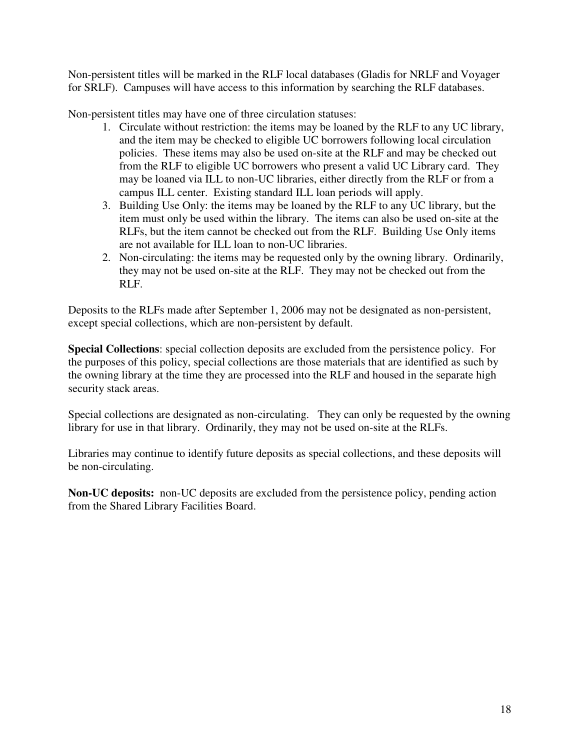Non-persistent titles will be marked in the RLF local databases (Gladis for NRLF and Voyager for SRLF). Campuses will have access to this information by searching the RLF databases.

Non-persistent titles may have one of three circulation statuses:

- 1. Circulate without restriction: the items may be loaned by the RLF to any UC library, and the item may be checked to eligible UC borrowers following local circulation policies. These items may also be used on-site at the RLF and may be checked out from the RLF to eligible UC borrowers who present a valid UC Library card. They may be loaned via ILL to non-UC libraries, either directly from the RLF or from a campus ILL center. Existing standard ILL loan periods will apply.
- 3. Building Use Only: the items may be loaned by the RLF to any UC library, but the item must only be used within the library. The items can also be used on-site at the RLFs, but the item cannot be checked out from the RLF. Building Use Only items are not available for ILL loan to non-UC libraries.
- 2. Non-circulating: the items may be requested only by the owning library. Ordinarily, they may not be used on-site at the RLF. They may not be checked out from the RLF.

Deposits to the RLFs made after September 1, 2006 may not be designated as non-persistent, except special collections, which are non-persistent by default.

**Special Collections**: special collection deposits are excluded from the persistence policy. For the purposes of this policy, special collections are those materials that are identified as such by the owning library at the time they are processed into the RLF and housed in the separate high security stack areas.

Special collections are designated as non-circulating. They can only be requested by the owning library for use in that library. Ordinarily, they may not be used on-site at the RLFs.

Libraries may continue to identify future deposits as special collections, and these deposits will be non-circulating.

**Non-UC deposits:** non-UC deposits are excluded from the persistence policy, pending action from the Shared Library Facilities Board.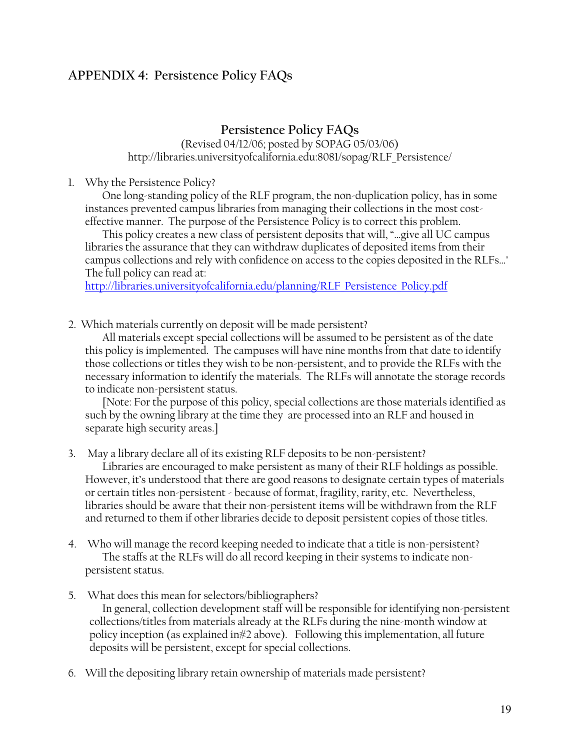## **APPENDIX 4: Persistence Policy FAQs**

## Persistence Policy FAQs

### (Revised 04/12/06; posted by SOPAG 05/03/06) http://libraries.universityofcalifornia.edu:8081/sopag/RLF Persistence/

## 1. Why the Persistence Policy?

One long-standing policy of the RLF program, the non-duplication policy, has in some instances prevented campus libraries from managing their collections in the most costeffective manner. The purpose of the Persistence Policy is to correct this problem.

This policy creates a new class of persistent deposits that will, "...give all UC campus libraries the assurance that they can withdraw duplicates of deposited items from their campus collections and rely with confidence on access to the copies deposited in the RLFs..." The full policy can read at:

http://libraries.universityofcalifornia.edu/planning/RLF Persistence Policy.pdf

2. Which materials currently on deposit will be made persistent?

All materials except special collections will be assumed to be persistent as of the date this policy is implemented. The campuses will have nine months from that date to identify those collections or titles they wish to be non-persistent, and to provide the RLFs with the necessary information to identify the materials. The RLFs will annotate the storage records to indicate non-persistent status.

[Note: For the purpose of this policy, special collections are those materials identified as such by the owning library at the time they are processed into an RLF and housed in separate high security areas.]

3. May a library declare all of its existing RLF deposits to be non-persistent?

Libraries are encouraged to make persistent as many of their RLF holdings as possible. However, it's understood that there are good reasons to designate certain types of materials or certain titles non-persistent - because of format, fragility, rarity, etc. Nevertheless, libraries should be aware that their non-persistent items will be withdrawn from the RLF and returned to them if other libraries decide to deposit persistent copies of those titles.

- 4. Who will manage the record keeping needed to indicate that a title is non-persistent? The staffs at the RLFs will do all record keeping in their systems to indicate nonpersistent status.
- 5. What does this mean for selectors/bibliographers?

In general, collection development staff will be responsible for identifying non-persistent collections/titles from materials already at the RLFs during the nine-month window at policy inception (as explained in #2 above). Following this implementation, all future deposits will be persistent, except for special collections.

6. Will the depositing library retain ownership of materials made persistent?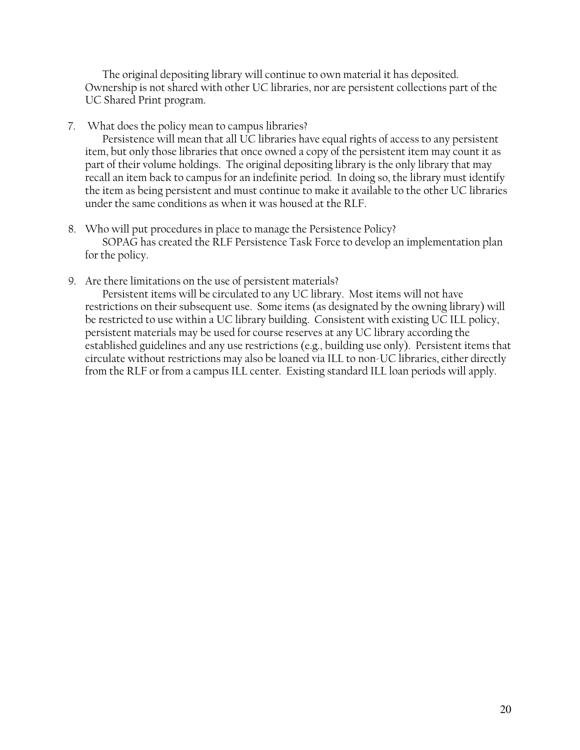The original depositing library will continue to own material it has deposited. Ownership is not shared with other UC libraries, nor are persistent collections part of the UC Shared Print program.

7. What does the policy mean to campus libraries?

Persistence will mean that all UC libraries have equal rights of access to any persistent item, but only those libraries that once owned a copy of the persistent item may count it as part of their volume holdings. The original depositing library is the only library that may recall an item back to campus for an indefinite period. In doing so, the library must identify the item as being persistent and must continue to make it available to the other UC libraries under the same conditions as when it was housed at the RLF.

- 8. Who will put procedures in place to manage the Persistence Policy? SOPAG has created the RLF Persistence Task Force to develop an implementation plan for the policy.
- 9. Are there limitations on the use of persistent materials?

Persistent items will be circulated to any UC library. Most items will not have restrictions on their subsequent use. Some items (as designated by the owning library) will be restricted to use within a UC library building. Consistent with existing UC ILL policy, persistent materials may be used for course reserves at any UC library according the established guidelines and any use restrictions (e.g., building use only). Persistent items that circulate without restrictions may also be loaned via ILL to non-UC libraries, either directly from the RLF or from a campus ILL center. Existing standard ILL loan periods will apply.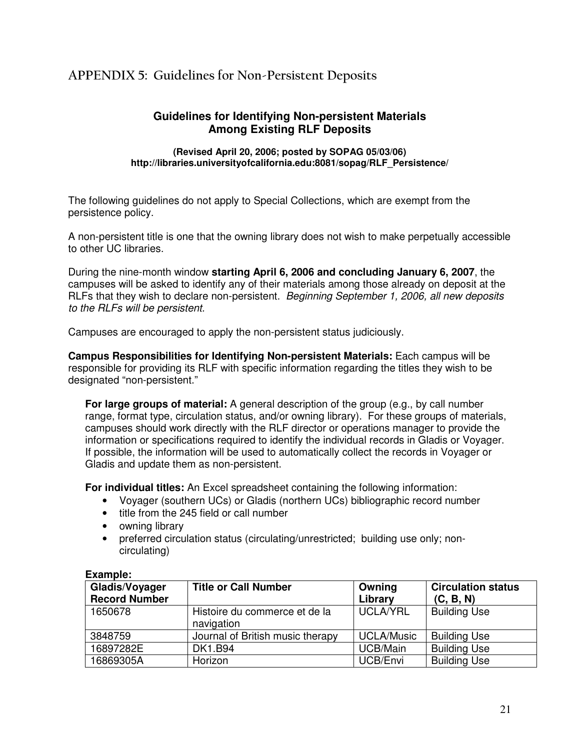# APPENDIX 5: Guidelines for Non-Persistent Deposits

## **Guidelines for Identifying Non-persistent Materials Among Existing RLF Deposits**

**(Revised April 20, 2006; posted by SOPAG 05/03/06) http://libraries.universityofcalifornia.edu:8081/sopag/RLF\_Persistence/**

The following guidelines do not apply to Special Collections, which are exempt from the persistence policy.

A non-persistent title is one that the owning library does not wish to make perpetually accessible to other UC libraries.

During the nine-month window **starting April 6, 2006 and concluding January 6, 2007**, the campuses will be asked to identify any of their materials among those already on deposit at the RLFs that they wish to declare non-persistent. *Beginning September 1, 2006, all new deposits to the RLFs will be persistent.*

Campuses are encouraged to apply the non-persistent status judiciously.

**Campus Responsibilities for Identifying Non-persistent Materials:** Each campus will be responsible for providing its RLF with specific information regarding the titles they wish to be designated "non-persistent."

**For large groups of material:** A general description of the group (e.g., by call number range, format type, circulation status, and/or owning library). For these groups of materials, campuses should work directly with the RLF director or operations manager to provide the information or specifications required to identify the individual records in Gladis or Voyager. If possible, the information will be used to automatically collect the records in Voyager or Gladis and update them as non-persistent.

**For individual titles:** An Excel spreadsheet containing the following information:

- Voyager (southern UCs) or Gladis (northern UCs) bibliographic record number
- title from the 245 field or call number
- owning library
- preferred circulation status (circulating/unrestricted; building use only; noncirculating)

| Gladis/Voyager<br><b>Record Number</b> | <b>Title or Call Number</b>                 | Owning<br>Library | <b>Circulation status</b><br>(C, B, N) |
|----------------------------------------|---------------------------------------------|-------------------|----------------------------------------|
| 1650678                                | Histoire du commerce et de la<br>navigation | UCLA/YRL          | <b>Building Use</b>                    |
| 3848759                                | Journal of British music therapy            | <b>UCLA/Music</b> | <b>Building Use</b>                    |
| 16897282E                              | <b>DK1.B94</b>                              | UCB/Main          | <b>Building Use</b>                    |
| 16869305A                              | Horizon                                     | UCB/Envi          | <b>Building Use</b>                    |

#### **Example:**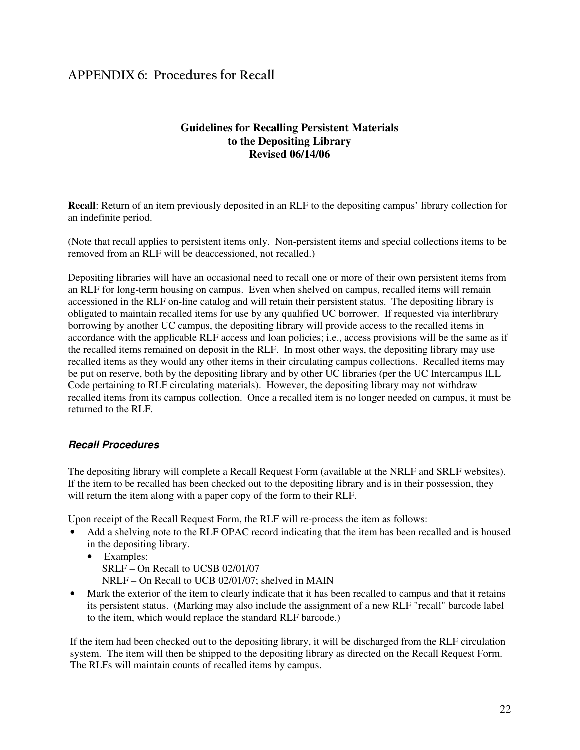# APPENDIX 6: Procedures for Recall

## **Guidelines for Recalling Persistent Materials to the Depositing Library Revised 06/14/06**

**Recall**: Return of an item previously deposited in an RLF to the depositing campus' library collection for an indefinite period.

(Note that recall applies to persistent items only. Non-persistent items and special collections items to be removed from an RLF will be deaccessioned, not recalled.)

Depositing libraries will have an occasional need to recall one or more of their own persistent items from an RLF for long-term housing on campus. Even when shelved on campus, recalled items will remain accessioned in the RLF on-line catalog and will retain their persistent status. The depositing library is obligated to maintain recalled items for use by any qualified UC borrower. If requested via interlibrary borrowing by another UC campus, the depositing library will provide access to the recalled items in accordance with the applicable RLF access and loan policies; i.e., access provisions will be the same as if the recalled items remained on deposit in the RLF. In most other ways, the depositing library may use recalled items as they would any other items in their circulating campus collections. Recalled items may be put on reserve, both by the depositing library and by other UC libraries (per the UC Intercampus ILL Code pertaining to RLF circulating materials). However, the depositing library may not withdraw recalled items from its campus collection. Once a recalled item is no longer needed on campus, it must be returned to the RLF.

### *Recall Procedures*

The depositing library will complete a Recall Request Form (available at the NRLF and SRLF websites). If the item to be recalled has been checked out to the depositing library and is in their possession, they will return the item along with a paper copy of the form to their RLF.

Upon receipt of the Recall Request Form, the RLF will re-process the item as follows:

- Add a shelving note to the RLF OPAC record indicating that the item has been recalled and is housed in the depositing library.
	- Examples: SRLF – On Recall to UCSB 02/01/07 NRLF – On Recall to UCB 02/01/07; shelved in MAIN
- Mark the exterior of the item to clearly indicate that it has been recalled to campus and that it retains its persistent status. (Marking may also include the assignment of a new RLF "recall" barcode label to the item, which would replace the standard RLF barcode.)

If the item had been checked out to the depositing library, it will be discharged from the RLF circulation system. The item will then be shipped to the depositing library as directed on the Recall Request Form. The RLFs will maintain counts of recalled items by campus.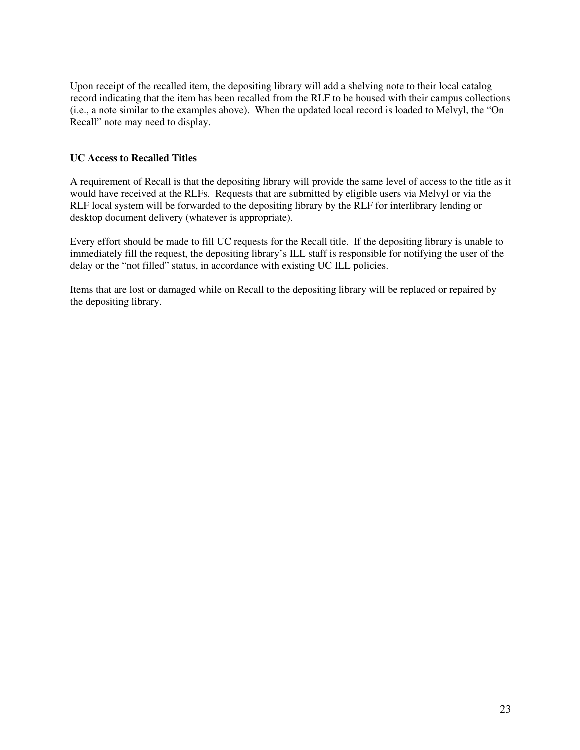Upon receipt of the recalled item, the depositing library will add a shelving note to their local catalog record indicating that the item has been recalled from the RLF to be housed with their campus collections (i.e., a note similar to the examples above). When the updated local record is loaded to Melvyl, the "On Recall" note may need to display.

### **UC Access to Recalled Titles**

A requirement of Recall is that the depositing library will provide the same level of access to the title as it would have received at the RLFs. Requests that are submitted by eligible users via Melvyl or via the RLF local system will be forwarded to the depositing library by the RLF for interlibrary lending or desktop document delivery (whatever is appropriate).

Every effort should be made to fill UC requests for the Recall title. If the depositing library is unable to immediately fill the request, the depositing library's ILL staff is responsible for notifying the user of the delay or the "not filled" status, in accordance with existing UC ILL policies.

Items that are lost or damaged while on Recall to the depositing library will be replaced or repaired by the depositing library.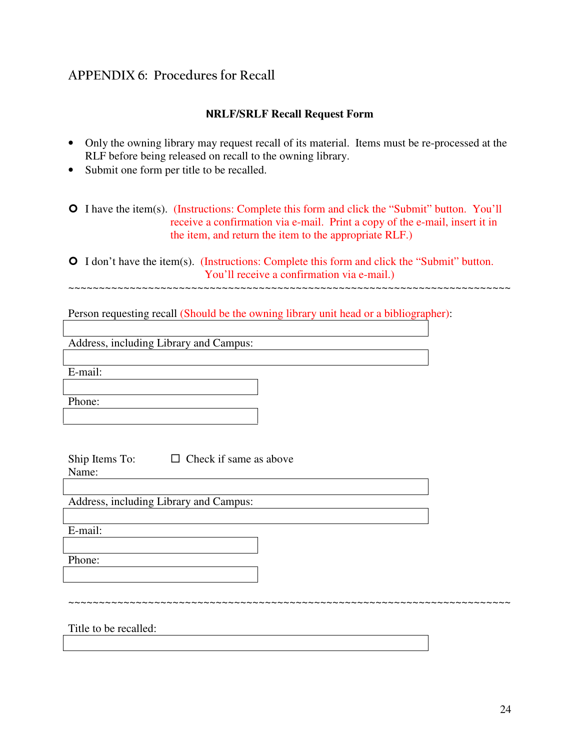# APPENDIX 6: Procedures for Recall

## **NRLF/SRLF Recall Request Form**

- Only the owning library may request recall of its material. Items must be re-processed at the RLF before being released on recall to the owning library.
- Submit one form per title to be recalled.

**O** I have the item(s). (Instructions: Complete this form and click the "Submit" button. You'll receive a confirmation via e-mail. Print a copy of the e-mail, insert it in the item, and return the item to the appropriate RLF.)

 I don't have the item(s). (Instructions: Complete this form and click the "Submit" button. You'll receive a confirmation via e-mail.) ~~~~~~~~~~~~~~~~~~~~~~~~~~~~~~~~~~~~~~~~~~~~~~~~~~~~~~~~~~~~~~~~~~~~~~~~

~~~~~~~~~~~~~~~~~~~~~~~~~~~~~~~~~~~~~~~~~~~~~~~~~~~~~~~~~~~~~~~~~~~~~~~~

Person requesting recall (Should be the owning library unit head or a bibliographer):

Address, including Library and Campus:

E-mail:

Phone:

Ship Items To:  $\Box$  Check if same as above

Name:

Address, including Library and Campus:

E-mail:

Phone:

Title to be recalled: